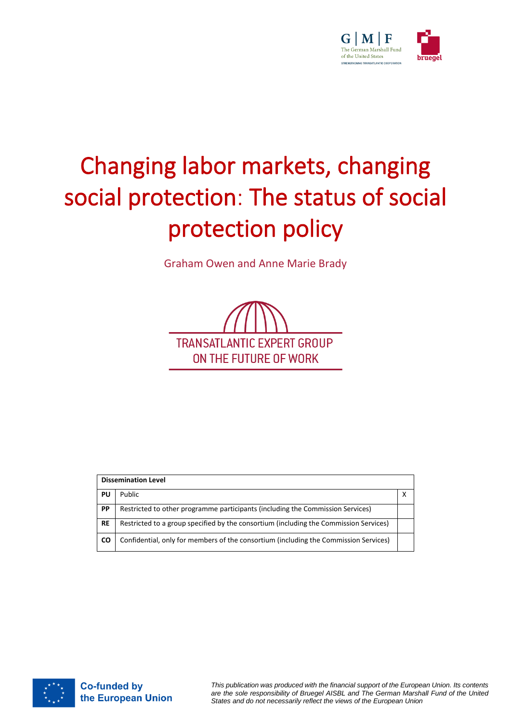

# Changing labor markets, changing social protection: The status of social protection policy

Graham Owen and Anne Marie Brady



| <b>Dissemination Level</b> |                                                                                       |  |  |
|----------------------------|---------------------------------------------------------------------------------------|--|--|
| PU                         | Public                                                                                |  |  |
| PP                         | Restricted to other programme participants (including the Commission Services)        |  |  |
| <b>RE</b>                  | Restricted to a group specified by the consortium (including the Commission Services) |  |  |
| <b>CO</b>                  | Confidential, only for members of the consortium (including the Commission Services)  |  |  |



*This publication was produced with the financial support of the European Union. Its contents are the sole responsibility of Bruegel AISBL and The German Marshall Fund of the United States and do not necessarily reflect the views of the European Union*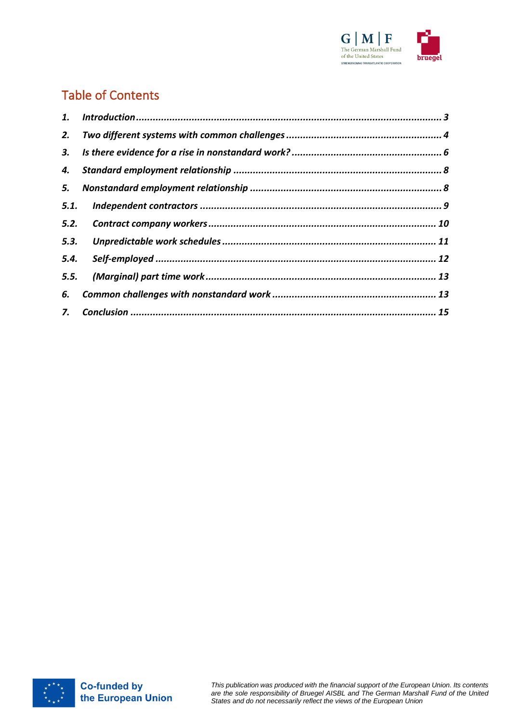

# Table of Contents

| 1.   |  |
|------|--|
| 2.   |  |
|      |  |
| 4.   |  |
| 5.   |  |
| 5.1. |  |
| 5.2. |  |
| 5.3. |  |
|      |  |
| 5.5. |  |
| 6.   |  |
|      |  |

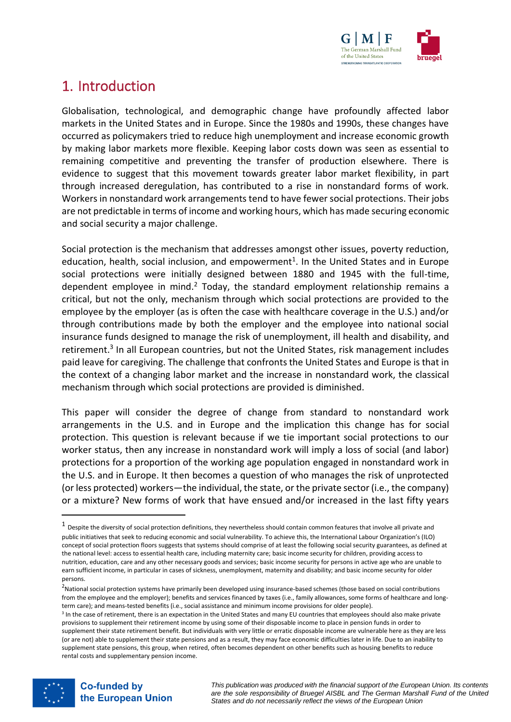

## <span id="page-2-0"></span>1. Introduction

Globalisation, technological, and demographic change have profoundly affected labor markets in the United States and in Europe. Since the 1980s and 1990s, these changes have occurred as policymakers tried to reduce high unemployment and increase economic growth by making labor markets more flexible. Keeping labor costs down was seen as essential to remaining competitive and preventing the transfer of production elsewhere. There is evidence to suggest that this movement towards greater labor market flexibility, in part through increased deregulation, has contributed to a rise in nonstandard forms of work. Workers in nonstandard work arrangements tend to have fewer social protections. Their jobs are not predictable in terms of income and working hours, which has made securing economic and social security a major challenge.

Social protection is the mechanism that addresses amongst other issues, poverty reduction, education, health, social inclusion, and empowerment<sup>1</sup>. In the United States and in Europe social protections were initially designed between 1880 and 1945 with the full-time, dependent employee in mind.<sup>2</sup> Today, the standard employment relationship remains a critical, but not the only, mechanism through which social protections are provided to the employee by the employer (as is often the case with healthcare coverage in the U.S.) and/or through contributions made by both the employer and the employee into national social insurance funds designed to manage the risk of unemployment, ill health and disability, and retirement.<sup>3</sup> In all European countries, but not the United States, risk management includes paid leave for caregiving. The challenge that confronts the United States and Europe is that in the context of a changing labor market and the increase in nonstandard work, the classical mechanism through which social protections are provided is diminished.

This paper will consider the degree of change from standard to nonstandard work arrangements in the U.S. and in Europe and the implication this change has for social protection. This question is relevant because if we tie important social protections to our worker status, then any increase in nonstandard work will imply a loss of social (and labor) protections for a proportion of the working age population engaged in nonstandard work in the U.S. and in Europe. It then becomes a question of who manages the risk of unprotected (or less protected) workers—the individual, the state, or the private sector (i.e., the company) or a mixture? New forms of work that have ensued and/or increased in the last fifty years

<sup>&</sup>lt;sup>3</sup> In the case of retirement, there is an expectation in the United States and many EU countries that employees should also make private provisions to supplement their retirement income by using some of their disposable income to place in pension funds in order to supplement their state retirement benefit. But individuals with very little or erratic disposable income are vulnerable here as they are less (or are not) able to supplement their state pensions and as a result, they may face economic difficulties later in life. Due to an inability to supplement state pensions, this group, when retired, often becomes dependent on other benefits such as housing benefits to reduce rental costs and supplementary pension income.



 $^1$  Despite the diversity of social protection definitions, they nevertheless should contain common features that involve all private and public initiatives that seek to reducing economic and social vulnerability. To achieve this, the International Labour Organization's (ILO) concept of social protection floors suggests that systems should comprise of at least the following social security guarantees, as defined at the national level: access to essential health care, including maternity care; basic income security for children, providing access to nutrition, education, care and any other necessary goods and services; basic income security for persons in active age who are unable to earn sufficient income, in particular in cases of sickness, unemployment, maternity and disability; and basic income security for older persons.

<sup>&</sup>lt;sup>2</sup>National social protection systems have primarily been developed using insurance-based schemes (those based on social contributions from the employee and the employer); benefits and services financed by taxes (i.e., family allowances, some forms of healthcare and longterm care); and means-tested benefits (i.e., social assistance and minimum income provisions for older people).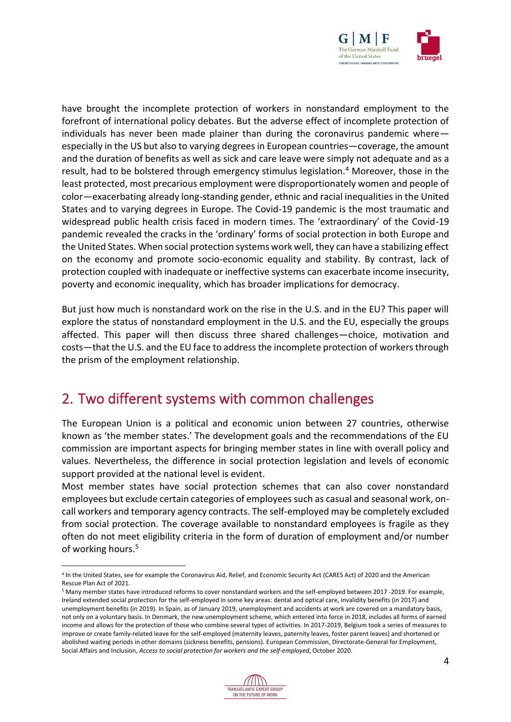

have brought the incomplete protection of workers in nonstandard employment to the forefront of international policy debates. But the adverse effect of incomplete protection of individuals has never been made plainer than during the coronavirus pandemic where especially in the US but also to varying degrees in European countries—coverage, the amount and the duration of benefits as well as sick and care leave were simply not adequate and as a result, had to be bolstered through emergency stimulus legislation.<sup>4</sup> Moreover, those in the least protected, most precarious employment were disproportionately women and people of color—exacerbating already long-standing gender, ethnic and racial inequalities in the United States and to varying degrees in Europe. The Covid-19 pandemic is the most traumatic and widespread public health crisis faced in modern times. The 'extraordinary' of the Covid-19 pandemic revealed the cracks in the 'ordinary' forms of social protection in both Europe and the United States. When social protection systems work well, they can have a stabilizing effect on the economy and promote socio-economic equality and stability. By contrast, lack of protection coupled with inadequate or ineffective systems can exacerbate income insecurity, poverty and economic inequality, which has broader implications for democracy.

But just how much is nonstandard work on the rise in the U.S. and in the EU? This paper will explore the status of nonstandard employment in the U.S. and the EU, especially the groups affected. This paper will then discuss three shared challenges—choice, motivation and costs—that the U.S. and the EU face to address the incomplete protection of workers through the prism of the employment relationship.

## <span id="page-3-0"></span>2. Two different systems with common challenges

The European Union is a political and economic union between 27 countries, otherwise known as 'the member states.' The development goals and the recommendations of the EU commission are important aspects for bringing member states in line with overall policy and values. Nevertheless, the difference in social protection legislation and levels of economic support provided at the national level is evident.

Most member states have social protection schemes that can also cover nonstandard employees but exclude certain categories of employees such as casual and seasonal work, oncall workers and temporary agency contracts. The self-employed may be completely excluded from social protection. The coverage available to nonstandard employees is fragile as they often do not meet eligibility criteria in the form of duration of employment and/or number of working hours.<sup>5</sup>

<sup>5</sup> Many member states have introduced reforms to cover nonstandard workers and the self-employed between 2017 -2019. For example, Ireland extended social protection for the self-employed in some key areas: dental and optical care, invalidity benefits (in 2017) and unemployment benefits (in 2019). In Spain, as of January 2019, unemployment and accidents at work are covered on a mandatory basis, not only on a voluntary basis. In Denmark, the new unemployment scheme, which entered into force in 2018, includes all forms of earned income and allows for the protection of those who combine several types of activities. In 2017-2019, Belgium took a series of measures to improve or create family-related leave for the self-employed (maternity leaves, paternity leaves, foster parent leaves) and shortened or abolished waiting periods in other domains (sickness benefits, pensions). European Commission, Directorate-General for Employment, Social Affairs and Inclusion, *Access to social protection for workers and the self-employed*, October 2020.



<sup>4</sup> In the United States, see for example the Coronavirus Aid, Relief, and Economic Security Act (CARES Act) of 2020 and the American Rescue Plan Act of 2021.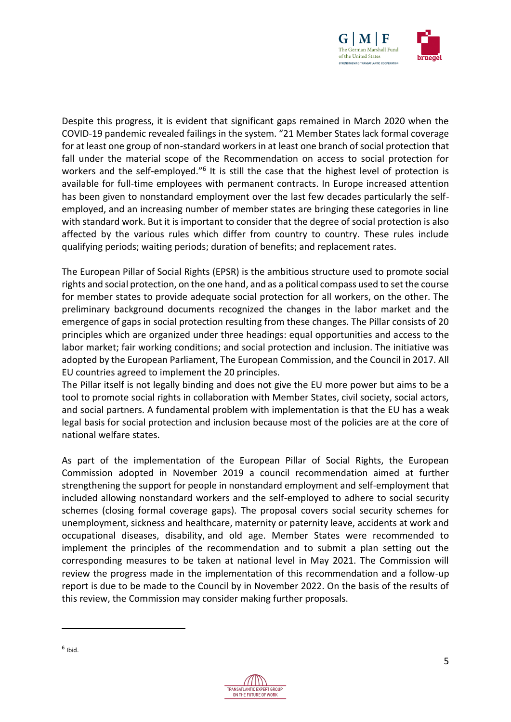

Despite this progress, it is evident that significant gaps remained in March 2020 when the COVID-19 pandemic revealed failings in the system. "21 Member States lack formal coverage for at least one group of non-standard workers in at least one branch of social protection that fall under the material scope of the Recommendation on access to social protection for workers and the self-employed."<sup>6</sup> It is still the case that the highest level of protection is available for full-time employees with permanent contracts. In Europe increased attention has been given to nonstandard employment over the last few decades particularly the selfemployed, and an increasing number of member states are bringing these categories in line with standard work. But it is important to consider that the degree of social protection is also affected by the various rules which differ from country to country. These rules include qualifying periods; waiting periods; duration of benefits; and replacement rates.

The European Pillar of Social Rights (EPSR) is the ambitious structure used to promote social rights and social protection, on the one hand, and as a political compass used to set the course for member states to provide adequate social protection for all workers, on the other. The preliminary background documents recognized the changes in the labor market and the emergence of gaps in social protection resulting from these changes. The Pillar consists of 20 principles which are organized under three headings: equal opportunities and access to the labor market; fair working conditions; and social protection and inclusion. The initiative was adopted by the European Parliament, The European Commission, and the Council in 2017. All EU countries agreed to implement the 20 principles.

The Pillar itself is not legally binding and does not give the EU more power but aims to be a tool to promote social rights in collaboration with Member States, civil society, social actors, and social partners. A fundamental problem with implementation is that the EU has a weak legal basis for social protection and inclusion because most of the policies are at the core of national welfare states.

As part of the implementation of the European Pillar of Social Rights, the European Commission adopted in November 2019 a council recommendation aimed at further strengthening the support for people in nonstandard employment and self-employment that included allowing nonstandard workers and the self-employed to adhere to social security schemes (closing formal coverage gaps). The proposal covers social security schemes for unemployment, sickness and healthcare, maternity or paternity leave, accidents at work and occupational diseases, disability, and old age. Member States were recommended to implement the principles of the recommendation and to submit a plan setting out the corresponding measures to be taken at national level in May 2021. The Commission will review the progress made in the implementation of this recommendation and a follow-up report is due to be made to the Council by in November 2022. On the basis of the results of this review, the Commission may consider making further proposals.

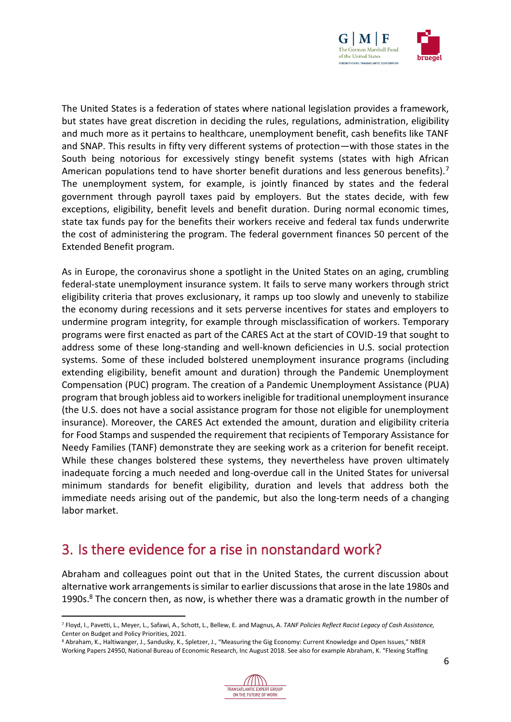

The United States is a federation of states where national legislation provides a framework, but states have great discretion in deciding the rules, regulations, administration, eligibility and much more as it pertains to healthcare, unemployment benefit, cash benefits like TANF and SNAP. This results in fifty very different systems of protection—with those states in the South being notorious for excessively stingy benefit systems (states with high African American populations tend to have shorter benefit durations and less generous benefits).<sup>7</sup> The unemployment system, for example, is jointly financed by states and the federal government through payroll taxes paid by employers. But the states decide, with few exceptions, eligibility, benefit levels and benefit duration. During normal economic times, state tax funds pay for the benefits their workers receive and federal tax funds underwrite the cost of administering the program. The federal government finances 50 percent of the Extended Benefit program.

As in Europe, the coronavirus shone a spotlight in the United States on an aging, crumbling federal-state unemployment insurance system. It fails to serve many workers through strict eligibility criteria that proves exclusionary, it ramps up too slowly and unevenly to stabilize the economy during recessions and it sets perverse incentives for states and employers to undermine program integrity, for example through misclassification of workers. Temporary programs were first enacted as part of the CARES Act at the start of COVID-19 that sought to address some of these long-standing and well-known deficiencies in U.S. social protection systems. Some of these included bolstered unemployment insurance programs (including extending eligibility, benefit amount and duration) through the Pandemic Unemployment Compensation (PUC) program. The creation of a Pandemic Unemployment Assistance (PUA) program that brough jobless aid to workers ineligible for traditional unemployment insurance (the U.S. does not have a social assistance program for those not eligible for unemployment insurance). Moreover, the CARES Act extended the amount, duration and eligibility criteria for Food Stamps and suspended the requirement that recipients of Temporary Assistance for Needy Families (TANF) demonstrate they are seeking work as a criterion for benefit receipt. While these changes bolstered these systems, they nevertheless have proven ultimately inadequate forcing a much needed and long-overdue call in the United States for universal minimum standards for benefit eligibility, duration and levels that address both the immediate needs arising out of the pandemic, but also the long-term needs of a changing labor market.

## <span id="page-5-0"></span>3. Is there evidence for a rise in nonstandard work?

Abraham and colleagues point out that in the United States, the current discussion about alternative work arrangements is similar to earlier discussions that arose in the late 1980s and 1990s. $8$  The concern then, as now, is whether there was a dramatic growth in the number of

<sup>8</sup> Abraham, K., Haltiwanger, J., Sandusky, K., Spletzer, J., "Measuring the Gig Economy: Current Knowledge and Open Issues," NBER Working Papers 24950, National Bureau of Economic Research, Inc August 2018. See also for example Abraham, K. "Flexing Staffing



<sup>7</sup> Floyd, I., Pavetti, L., Meyer, L., Safawi, A., Schott, L., Bellew, E. and Magnus, A. *TANF Policies Reflect Racist Legacy of Cash Assistance,*  Center on Budget and Policy Priorities, 2021.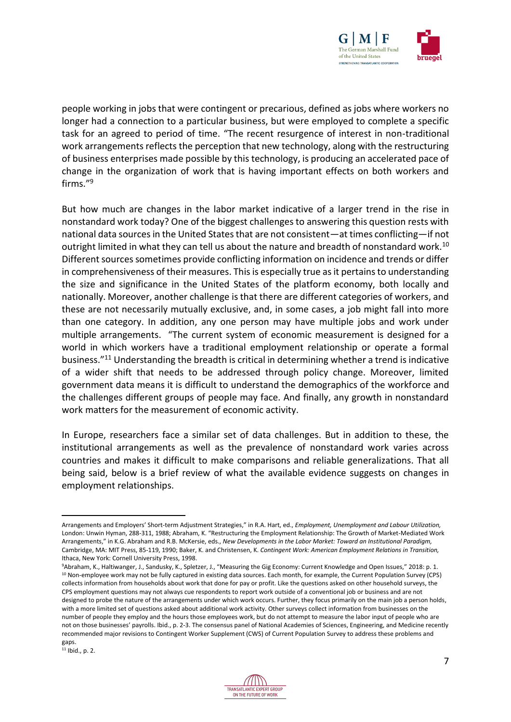

people working in jobs that were contingent or precarious, defined as jobs where workers no longer had a connection to a particular business, but were employed to complete a specific task for an agreed to period of time. "The recent resurgence of interest in non-traditional work arrangements reflects the perception that new technology, along with the restructuring of business enterprises made possible by this technology, is producing an accelerated pace of change in the organization of work that is having important effects on both workers and firms."<sup>9</sup>

But how much are changes in the labor market indicative of a larger trend in the rise in nonstandard work today? One of the biggest challenges to answering this question rests with national data sources in the United States that are not consistent—at times conflicting—if not outright limited in what they can tell us about the nature and breadth of nonstandard work.<sup>10</sup> Different sources sometimes provide conflicting information on incidence and trends or differ in comprehensiveness of their measures. This is especially true as it pertains to understanding the size and significance in the United States of the platform economy, both locally and nationally. Moreover, another challenge is that there are different categories of workers, and these are not necessarily mutually exclusive, and, in some cases, a job might fall into more than one category. In addition, any one person may have multiple jobs and work under multiple arrangements. "The current system of economic measurement is designed for a world in which workers have a traditional employment relationship or operate a formal business."<sup>11</sup> Understanding the breadth is critical in determining whether a trend is indicative of a wider shift that needs to be addressed through policy change. Moreover, limited government data means it is difficult to understand the demographics of the workforce and the challenges different groups of people may face. And finally, any growth in nonstandard work matters for the measurement of economic activity.

In Europe, researchers face a similar set of data challenges. But in addition to these, the institutional arrangements as well as the prevalence of nonstandard work varies across countries and makes it difficult to make comparisons and reliable generalizations. That all being said, below is a brief review of what the available evidence suggests on changes in employment relationships.



Arrangements and Employers' Short-term Adjustment Strategies," in R.A. Hart, ed., *Employment, Unemployment and Labour Utilization,*  London: Unwin Hyman, 288-311, 1988; Abraham, K. "Restructuring the Employment Relationship: The Growth of Market-Mediated Work Arrangements," in K.G. Abraham and R.B. McKersie, eds., *New Developments in the Labor Market: Toward an Institutional Paradigm,*  Cambridge, MA: MIT Press, 85-119, 1990; Baker, K. and Christensen, K. *Contingent Work: American Employment Relations in Transition,*  Ithaca, New York: Cornell University Press, 1998.

<sup>9</sup>Abraham, K., Haltiwanger, J., Sandusky, K., Spletzer, J., "Measuring the Gig Economy: Current Knowledge and Open Issues," 2018: p. 1. <sup>10</sup> Non-employee work may not be fully captured in existing data sources. Each month, for example, the Current Population Survey (CPS) collects information from households about work that done for pay or profit. Like the questions asked on other household surveys, the CPS employment questions may not always cue respondents to report work outside of a conventional job or business and are not designed to probe the nature of the arrangements under which work occurs. Further, they focus primarily on the main job a person holds, with a more limited set of questions asked about additional work activity. Other surveys collect information from businesses on the number of people they employ and the hours those employees work, but do not attempt to measure the labor input of people who are not on those businesses' payrolls. Ibid., p. 2-3. The consensus panel of National Academies of Sciences, Engineering, and Medicine recently recommended major revisions to Contingent Worker Supplement (CWS) of Current Population Survey to address these problems and gaps.

 $11$  Ibid., p. 2.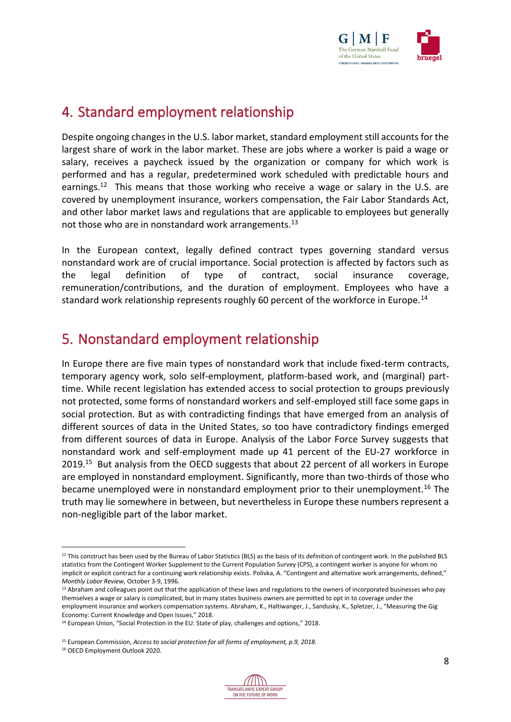

## <span id="page-7-0"></span>4. Standard employment relationship

Despite ongoing changes in the U.S. labor market, standard employment still accounts for the largest share of work in the labor market. These are jobs where a worker is paid a wage or salary, receives a paycheck issued by the organization or company for which work is performed and has a regular, predetermined work scheduled with predictable hours and earnings.<sup>12</sup> This means that those working who receive a wage or salary in the U.S. are covered by unemployment insurance, workers compensation, the Fair Labor Standards Act, and other labor market laws and regulations that are applicable to employees but generally not those who are in nonstandard work arrangements.<sup>13</sup>

In the European context, legally defined contract types governing standard versus nonstandard work are of crucial importance. Social protection is affected by factors such as the legal definition of type of contract, social insurance coverage, remuneration/contributions, and the duration of employment. Employees who have a standard work relationship represents roughly 60 percent of the workforce in Europe.<sup>14</sup>

## <span id="page-7-1"></span>5. Nonstandard employment relationship

In Europe there are five main types of nonstandard work that include fixed-term contracts, temporary agency work, solo self-employment, platform-based work, and (marginal) parttime. While recent legislation has extended access to social protection to groups previously not protected, some forms of nonstandard workers and self-employed still face some gaps in social protection. But as with contradicting findings that have emerged from an analysis of different sources of data in the United States, so too have contradictory findings emerged from different sources of data in Europe. Analysis of the Labor Force Survey suggests that nonstandard work and self-employment made up 41 percent of the EU-27 workforce in 2019.<sup>15</sup> But analysis from the OECD suggests that about 22 percent of all workers in Europe are employed in nonstandard employment. Significantly, more than two-thirds of those who became unemployed were in nonstandard employment prior to their unemployment.<sup>16</sup> The truth may lie somewhere in between, but nevertheless in Europe these numbers represent a non-negligible part of the labor market.



 $12$  This construct has been used by the Bureau of Labor Statistics (BLS) as the basis of its definition of contingent work. In the published BLS statistics from the Contingent Worker Supplement to the Current Population Survey (CPS), a contingent worker is anyone for whom no implicit or explicit contract for a continuing work relationship exists. Polivka, A. "Contingent and alternative work arrangements, defined," *Monthly Labor Review*, October 3-9, 1996.

<sup>&</sup>lt;sup>13</sup> Abraham and colleagues point out that the application of these laws and regulations to the owners of incorporated businesses who pay themselves a wage or salary is complicated, but in many states business owners are permitted to opt in to coverage under the employment insurance and workers compensation systems. Abraham, K., Haltiwanger, J., Sandusky, K., Spletzer, J., "Measuring the Gig Economy: Current Knowledge and Open Issues," 2018.

<sup>&</sup>lt;sup>14</sup> European Union, "Social Protection in the EU: State of play, challenges and options," 2018.

<sup>15</sup> European Commission, *Access to social protection for all forms of employment, p.9, 2018.*

<sup>16</sup> OECD Employment Outlook 2020.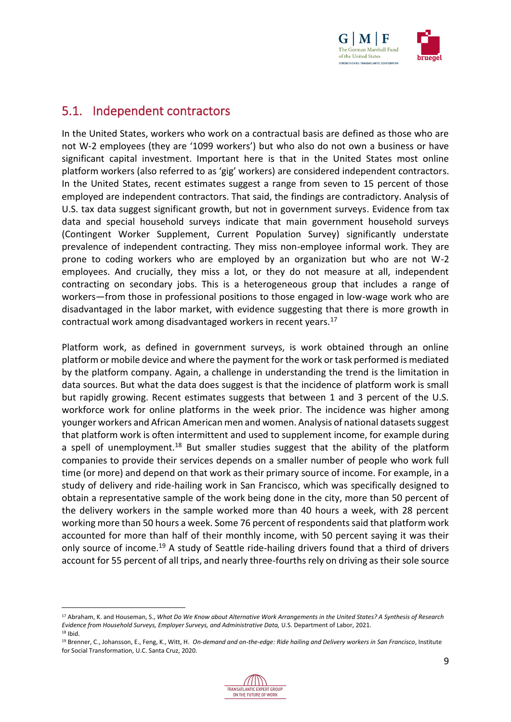

#### <span id="page-8-0"></span>5.1. Independent contractors

In the United States, workers who work on a contractual basis are defined as those who are not W-2 employees (they are '1099 workers') but who also do not own a business or have significant capital investment. Important here is that in the United States most online platform workers (also referred to as 'gig' workers) are considered independent contractors. In the United States, recent estimates suggest a range from seven to 15 percent of those employed are independent contractors. That said, the findings are contradictory. Analysis of U.S. tax data suggest significant growth, but not in government surveys. Evidence from tax data and special household surveys indicate that main government household surveys (Contingent Worker Supplement, Current Population Survey) significantly understate prevalence of independent contracting. They miss non-employee informal work. They are prone to coding workers who are employed by an organization but who are not W-2 employees. And crucially, they miss a lot, or they do not measure at all, independent contracting on secondary jobs. This is a heterogeneous group that includes a range of workers—from those in professional positions to those engaged in low-wage work who are disadvantaged in the labor market, with evidence suggesting that there is more growth in contractual work among disadvantaged workers in recent years.<sup>17</sup>

Platform work, as defined in government surveys, is work obtained through an online platform or mobile device and where the payment for the work or task performed is mediated by the platform company. Again, a challenge in understanding the trend is the limitation in data sources. But what the data does suggest is that the incidence of platform work is small but rapidly growing. Recent estimates suggests that between 1 and 3 percent of the U.S. workforce work for online platforms in the week prior. The incidence was higher among younger workers and African American men and women. Analysis of national datasets suggest that platform work is often intermittent and used to supplement income, for example during a spell of unemployment.<sup>18</sup> But smaller studies suggest that the ability of the platform companies to provide their services depends on a smaller number of people who work full time (or more) and depend on that work as their primary source of income. For example, in a study of delivery and ride-hailing work in San Francisco, which was specifically designed to obtain a representative sample of the work being done in the city, more than 50 percent of the delivery workers in the sample worked more than 40 hours a week, with 28 percent working more than 50 hours a week. Some 76 percent of respondents said that platform work accounted for more than half of their monthly income, with 50 percent saying it was their only source of income.<sup>19</sup> A study of Seattle ride-hailing drivers found that a third of drivers account for 55 percent of all trips, and nearly three-fourths rely on driving as their sole source

<sup>19</sup> Brenner, C., Johansson, E., Feng, K., Witt, H. *On-demand and on-the-edge: Ride hailing and Delivery workers in San Francisco*, Institute for Social Transformation, U.C. Santa Cruz, 2020.



<sup>17</sup> Abraham, K. and Houseman, S., *What Do We Know about Alternative Work Arrangements in the United States? A Synthesis of Research Evidence from Household Surveys, Employer Surveys, and Administrative Data,* U.S. Department of Labor, 2021. <sup>18</sup> Ibid.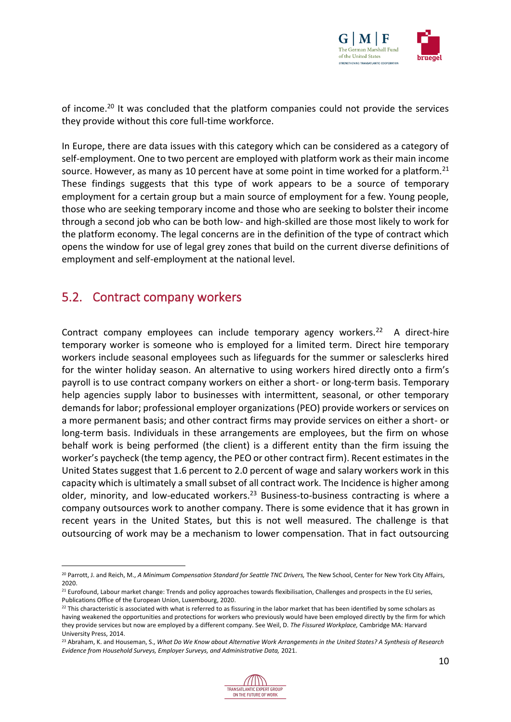

of income.<sup>20</sup> It was concluded that the platform companies could not provide the services they provide without this core full-time workforce.

In Europe, there are data issues with this category which can be considered as a category of self-employment. One to two percent are employed with platform work as their main income source. However, as many as 10 percent have at some point in time worked for a platform.<sup>21</sup> These findings suggests that this type of work appears to be a source of temporary employment for a certain group but a main source of employment for a few. Young people, those who are seeking temporary income and those who are seeking to bolster their income through a second job who can be both low- and high-skilled are those most likely to work for the platform economy. The legal concerns are in the definition of the type of contract which opens the window for use of legal grey zones that build on the current diverse definitions of employment and self-employment at the national level.

#### <span id="page-9-0"></span>5.2. Contract company workers

Contract company employees can include temporary agency workers.<sup>22</sup> A direct-hire temporary worker is someone who is employed for a limited term. Direct hire temporary workers include seasonal employees such as lifeguards for the summer or salesclerks hired for the winter holiday season. An alternative to using workers hired directly onto a firm's payroll is to use contract company workers on either a short- or long-term basis. Temporary help agencies supply labor to businesses with intermittent, seasonal, or other temporary demands for labor; professional employer organizations (PEO) provide workers or services on a more permanent basis; and other contract firms may provide services on either a short- or long-term basis. Individuals in these arrangements are employees, but the firm on whose behalf work is being performed (the client) is a different entity than the firm issuing the worker's paycheck (the temp agency, the PEO or other contract firm). Recent estimates in the United States suggest that 1.6 percent to 2.0 percent of wage and salary workers work in this capacity which is ultimately a small subset of all contract work. The Incidence is higher among older, minority, and low-educated workers.<sup>23</sup> Business-to-business contracting is where a company outsources work to another company. There is some evidence that it has grown in recent years in the United States, but this is not well measured. The challenge is that outsourcing of work may be a mechanism to lower compensation. That in fact outsourcing

<sup>23</sup> Abraham, K. and Houseman, S., *What Do We Know about Alternative Work Arrangements in the United States? A Synthesis of Research Evidence from Household Surveys, Employer Surveys, and Administrative Data,* 2021.



<sup>20</sup> Parrott, J. and Reich, M., *A Minimum Compensation Standard for Seattle TNC Drivers,* The New School, Center for New York City Affairs, 2020.

<sup>&</sup>lt;sup>21</sup> Eurofound, Labour market change: Trends and policy approaches towards flexibilisation, Challenges and prospects in the EU series, Publications Office of the European Union, Luxembourg, 2020.

 $^{22}$  This characteristic is associated with what is referred to as fissuring in the labor market that has been identified by some scholars as having weakened the opportunities and protections for workers who previously would have been employed directly by the firm for which they provide services but now are employed by a different company. See Weil, D. *The Fissured Workplace,* Cambridge MA: Harvard University Press, 2014.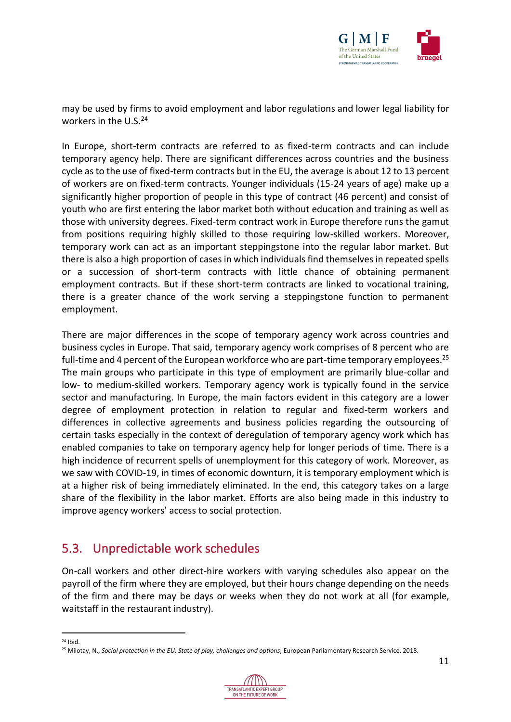

may be used by firms to avoid employment and labor regulations and lower legal liability for workers in the U.S. $24$ 

In Europe, short-term contracts are referred to as fixed-term contracts and can include temporary agency help. There are significant differences across countries and the business cycle as to the use of fixed-term contracts but in the EU, the average is about 12 to 13 percent of workers are on fixed-term contracts. Younger individuals (15-24 years of age) make up a significantly higher proportion of people in this type of contract (46 percent) and consist of youth who are first entering the labor market both without education and training as well as those with university degrees. Fixed-term contract work in Europe therefore runs the gamut from positions requiring highly skilled to those requiring low-skilled workers. Moreover, temporary work can act as an important steppingstone into the regular labor market. But there is also a high proportion of cases in which individuals find themselves in repeated spells or a succession of short-term contracts with little chance of obtaining permanent employment contracts. But if these short-term contracts are linked to vocational training, there is a greater chance of the work serving a steppingstone function to permanent employment.

There are major differences in the scope of temporary agency work across countries and business cycles in Europe. That said, temporary agency work comprises of 8 percent who are full-time and 4 percent of the European workforce who are part-time temporary employees.<sup>25</sup> The main groups who participate in this type of employment are primarily blue-collar and low- to medium-skilled workers. Temporary agency work is typically found in the service sector and manufacturing. In Europe, the main factors evident in this category are a lower degree of employment protection in relation to regular and fixed-term workers and differences in collective agreements and business policies regarding the outsourcing of certain tasks especially in the context of deregulation of temporary agency work which has enabled companies to take on temporary agency help for longer periods of time. There is a high incidence of recurrent spells of unemployment for this category of work. Moreover, as we saw with COVID-19, in times of economic downturn, it is temporary employment which is at a higher risk of being immediately eliminated. In the end, this category takes on a large share of the flexibility in the labor market. Efforts are also being made in this industry to improve agency workers' access to social protection.

#### <span id="page-10-0"></span>5.3. Unpredictable work schedules

On-call workers and other direct-hire workers with varying schedules also appear on the payroll of the firm where they are employed, but their hours change depending on the needs of the firm and there may be days or weeks when they do not work at all (for example, waitstaff in the restaurant industry).

<sup>&</sup>lt;sup>25</sup> Milotay, N., Social protection in the EU: State of play, challenges and options, European Parliamentary Research Service, 2018.



 $24$  Ihid.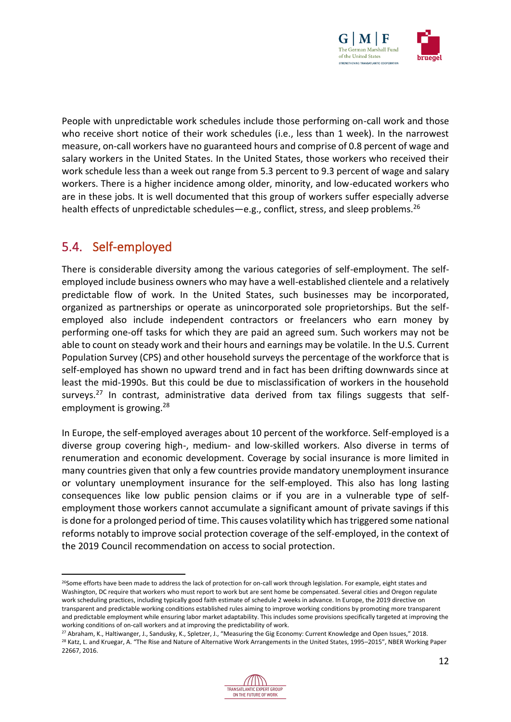

People with unpredictable work schedules include those performing on-call work and those who receive short notice of their work schedules (i.e., less than 1 week). In the narrowest measure, on-call workers have no guaranteed hours and comprise of 0.8 percent of wage and salary workers in the United States. In the United States, those workers who received their work schedule less than a week out range from 5.3 percent to 9.3 percent of wage and salary workers. There is a higher incidence among older, minority, and low-educated workers who are in these jobs. It is well documented that this group of workers suffer especially adverse health effects of unpredictable schedules—e.g., conflict, stress, and sleep problems.<sup>26</sup>

#### <span id="page-11-0"></span>5.4. Self-employed

There is considerable diversity among the various categories of self-employment. The selfemployed include business owners who may have a well-established clientele and a relatively predictable flow of work. In the United States, such businesses may be incorporated, organized as partnerships or operate as unincorporated sole proprietorships. But the selfemployed also include independent contractors or freelancers who earn money by performing one-off tasks for which they are paid an agreed sum. Such workers may not be able to count on steady work and their hours and earnings may be volatile. In the U.S. Current Population Survey (CPS) and other household surveys the percentage of the workforce that is self-employed has shown no upward trend and in fact has been drifting downwards since at least the mid-1990s. But this could be due to misclassification of workers in the household surveys.<sup>27</sup> In contrast, administrative data derived from tax filings suggests that selfemployment is growing.<sup>28</sup>

In Europe, the self-employed averages about 10 percent of the workforce. Self-employed is a diverse group covering high-, medium- and low-skilled workers. Also diverse in terms of renumeration and economic development. Coverage by social insurance is more limited in many countries given that only a few countries provide mandatory unemployment insurance or voluntary unemployment insurance for the self-employed. This also has long lasting consequences like low public pension claims or if you are in a vulnerable type of selfemployment those workers cannot accumulate a significant amount of private savings if this is done for a prolonged period of time. This causes volatility which has triggered some national reforms notably to improve social protection coverage of the self-employed, in the context of the 2019 Council recommendation on access to social protection.

<sup>27</sup> Abraham, K., Haltiwanger, J., Sandusky, K., Spletzer, J., "Measuring the Gig Economy: Current Knowledge and Open Issues," 2018. <sup>28</sup> Katz, L. and Kruegar, A. "The Rise and Nature of Alternative Work Arrangements in the United States, 1995–2015", NBER Working Paper 22667, 2016.



<sup>&</sup>lt;sup>26</sup>Some efforts have been made to address the lack of protection for on-call work through legislation. For example, eight states and Washington, DC require that workers who must report to work but are sent home be compensated. Several cities and Oregon regulate work scheduling practices, including typically good faith estimate of schedule 2 weeks in advance. In Europe, the 2019 directive on transparent and predictable working conditions established rules aiming to improve working conditions by promoting more transparent and predictable employment while ensuring labor market adaptability. This includes some provisions specifically targeted at improving the working conditions of on-call workers and at improving the predictability of work.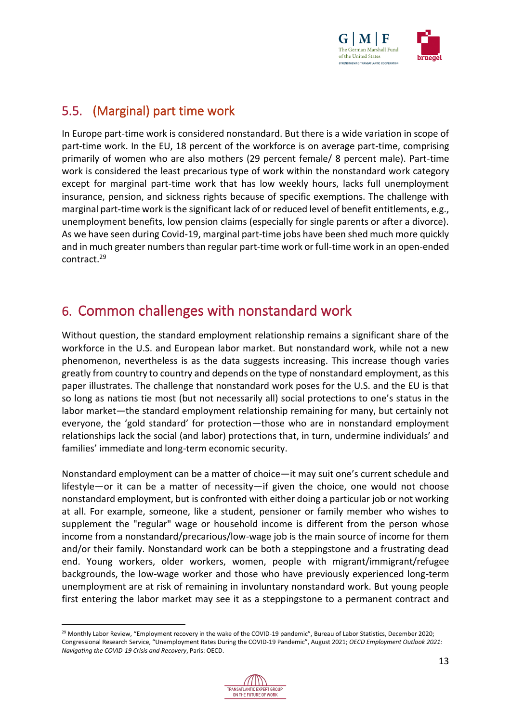

## <span id="page-12-0"></span>5.5. (Marginal) part time work

In Europe part-time work is considered nonstandard. But there is a wide variation in scope of part-time work. In the EU, 18 percent of the workforce is on average part-time, comprising primarily of women who are also mothers (29 percent female/ 8 percent male). Part-time work is considered the least precarious type of work within the nonstandard work category except for marginal part-time work that has low weekly hours, lacks full unemployment insurance, pension, and sickness rights because of specific exemptions. The challenge with marginal part-time work is the significant lack of or reduced level of benefit entitlements, e.g., unemployment benefits, low pension claims (especially for single parents or after a divorce). As we have seen during Covid-19, marginal part-time jobs have been shed much more quickly and in much greater numbers than regular part-time work or full-time work in an open-ended contract.<sup>29</sup>

## <span id="page-12-1"></span>6. Common challenges with nonstandard work

Without question, the standard employment relationship remains a significant share of the workforce in the U.S. and European labor market. But nonstandard work, while not a new phenomenon, nevertheless is as the data suggests increasing. This increase though varies greatly from country to country and depends on the type of nonstandard employment, as this paper illustrates. The challenge that nonstandard work poses for the U.S. and the EU is that so long as nations tie most (but not necessarily all) social protections to one's status in the labor market—the standard employment relationship remaining for many, but certainly not everyone, the 'gold standard' for protection—those who are in nonstandard employment relationships lack the social (and labor) protections that, in turn, undermine individuals' and families' immediate and long-term economic security.

Nonstandard employment can be a matter of choice—it may suit one's current schedule and lifestyle—or it can be a matter of necessity—if given the choice, one would not choose nonstandard employment, but is confronted with either doing a particular job or not working at all. For example, someone, like a student, pensioner or family member who wishes to supplement the "regular" wage or household income is different from the person whose income from a nonstandard/precarious/low-wage job is the main source of income for them and/or their family. Nonstandard work can be both a steppingstone and a frustrating dead end. Young workers, older workers, women, people with migrant/immigrant/refugee backgrounds, the low-wage worker and those who have previously experienced long-term unemployment are at risk of remaining in involuntary nonstandard work. But young people first entering the labor market may see it as a steppingstone to a permanent contract and

<sup>&</sup>lt;sup>29</sup> Monthly Labor Review, "Employment recovery in the wake of the COVID-19 pandemic", Bureau of Labor Statistics, December 2020; Congressional Research Service, "Unemployment Rates During the COVID-19 Pandemic", August 2021; *OECD Employment Outlook 2021: Navigating the COVID-19 Crisis and Recovery*, Paris: OECD.

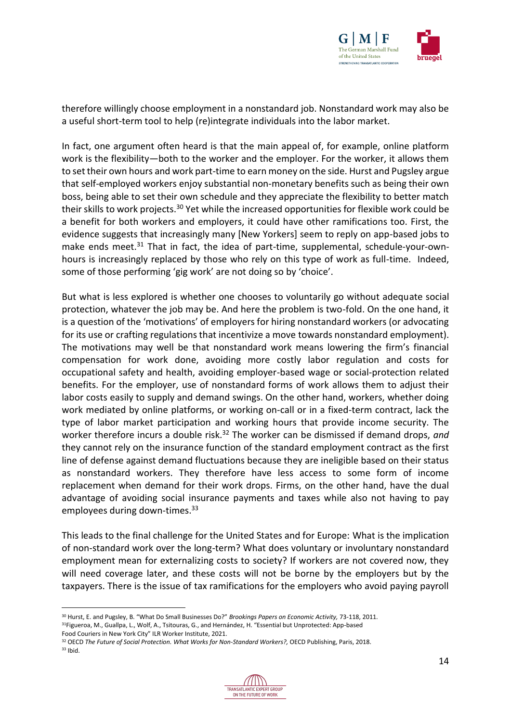

therefore willingly choose employment in a nonstandard job. Nonstandard work may also be a useful short-term tool to help (re)integrate individuals into the labor market.

In fact, one argument often heard is that the main appeal of, for example, online platform work is the flexibility—both to the worker and the employer. For the worker, it allows them to set their own hours and work part-time to earn money on the side. Hurst and Pugsley argue that self-employed workers enjoy substantial non-monetary benefits such as being their own boss, being able to set their own schedule and they appreciate the flexibility to better match their skills to work projects.<sup>30</sup> Yet while the increased opportunities for flexible work could be a benefit for both workers and employers, it could have other ramifications too. First, the evidence suggests that increasingly many [New Yorkers] seem to reply on app-based jobs to make ends meet. $31$  That in fact, the idea of part-time, supplemental, schedule-your-ownhours is increasingly replaced by those who rely on this type of work as full-time. Indeed, some of those performing 'gig work' are not doing so by 'choice'.

But what is less explored is whether one chooses to voluntarily go without adequate social protection, whatever the job may be. And here the problem is two-fold. On the one hand, it is a question of the 'motivations' of employers for hiring nonstandard workers (or advocating for its use or crafting regulations that incentivize a move towards nonstandard employment). The motivations may well be that nonstandard work means lowering the firm's financial compensation for work done, avoiding more costly labor regulation and costs for occupational safety and health, avoiding employer-based wage or social-protection related benefits. For the employer, use of nonstandard forms of work allows them to adjust their labor costs easily to supply and demand swings. On the other hand, workers, whether doing work mediated by online platforms, or working on-call or in a fixed-term contract, lack the type of labor market participation and working hours that provide income security. The worker therefore incurs a double risk.<sup>32</sup> The worker can be dismissed if demand drops, and they cannot rely on the insurance function of the standard employment contract as the first line of defense against demand fluctuations because they are ineligible based on their status as nonstandard workers. They therefore have less access to some form of income replacement when demand for their work drops. Firms, on the other hand, have the dual advantage of avoiding social insurance payments and taxes while also not having to pay employees during down-times.<sup>33</sup>

This leads to the final challenge for the United States and for Europe: What is the implication of non-standard work over the long-term? What does voluntary or involuntary nonstandard employment mean for externalizing costs to society? If workers are not covered now, they will need coverage later, and these costs will not be borne by the employers but by the taxpayers. There is the issue of tax ramifications for the employers who avoid paying payroll

<sup>32</sup> OECD *The Future of Social Protection. What Works for Non-Standard Workers?,* OECD Publishing, Paris, 2018.  $33$  Ibid.



<sup>30</sup> Hurst, E. and Pugsley, B. "What Do Small Businesses Do?" *Brookings Papers on Economic Activity,* 73-118, 2011. <sup>31</sup>Figueroa, M., Guallpa, L., Wolf, A., Tsitouras, G., and Hernández, H. "Essential but Unprotected: App-based

Food Couriers in New York City" ILR Worker Institute, 2021.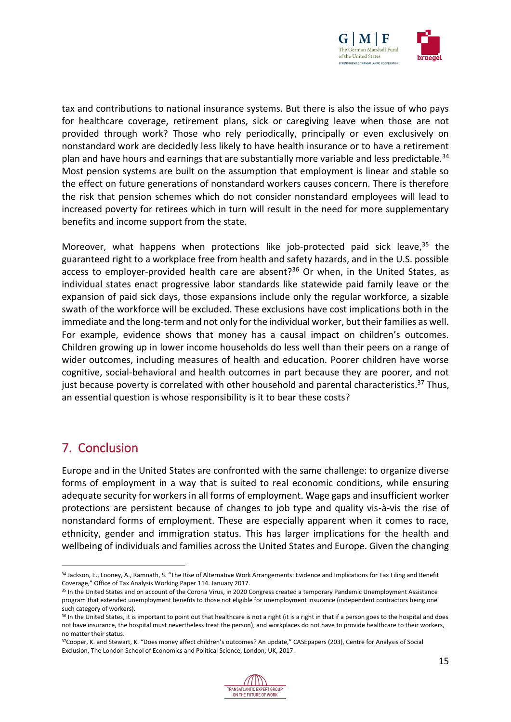

tax and contributions to national insurance systems. But there is also the issue of who pays for healthcare coverage, retirement plans, sick or caregiving leave when those are not provided through work? Those who rely periodically, principally or even exclusively on nonstandard work are decidedly less likely to have health insurance or to have a retirement plan and have hours and earnings that are substantially more variable and less predictable.<sup>34</sup> Most pension systems are built on the assumption that employment is linear and stable so the effect on future generations of nonstandard workers causes concern. There is therefore the risk that pension schemes which do not consider nonstandard employees will lead to increased poverty for retirees which in turn will result in the need for more supplementary benefits and income support from the state.

Moreover, what happens when protections like job-protected paid sick leave,<sup>35</sup> the guaranteed right to a workplace free from health and safety hazards, and in the U.S. possible access to employer-provided health care are absent? $36$  Or when, in the United States, as individual states enact progressive labor standards like statewide paid family leave or the expansion of paid sick days, those expansions include only the regular workforce, a sizable swath of the workforce will be excluded. These exclusions have cost implications both in the immediate and the long-term and not only for the individual worker, but their families as well. For example, evidence shows that money has a causal impact on children's outcomes. Children growing up in lower income households do less well than their peers on a range of wider outcomes, including measures of health and education. Poorer children have worse cognitive, social-behavioral and health outcomes in part because they are poorer, and not just because poverty is correlated with other household and parental characteristics.<sup>37</sup> Thus, an essential question is whose responsibility is it to bear these costs?

### <span id="page-14-0"></span>7. Conclusion

Europe and in the United States are confronted with the same challenge: to organize diverse forms of employment in a way that is suited to real economic conditions, while ensuring adequate security for workers in all forms of employment. Wage gaps and insufficient worker protections are persistent because of changes to job type and quality vis-à-vis the rise of nonstandard forms of employment. These are especially apparent when it comes to race, ethnicity, gender and immigration status. This has larger implications for the health and wellbeing of individuals and families across the United States and Europe. Given the changing

<sup>37</sup>Cooper, K. and Stewart, K. "Does money affect children's outcomes? An update," CASEpapers (203), Centre for Analysis of Social Exclusion, The London School of Economics and Political Science, London, UK, 2017.



<sup>34</sup> Jackson, E., Looney, A., Ramnath, S. "The Rise of Alternative Work Arrangements: Evidence and Implications for Tax Filing and Benefit Coverage," Office of Tax Analysis Working Paper 114. January 2017.

<sup>&</sup>lt;sup>35</sup> In the United States and on account of the Corona Virus, in 2020 Congress created a temporary Pandemic Unemployment Assistance program that extended unemployment benefits to those not eligible for unemployment insurance (independent contractors being one such category of workers).

<sup>&</sup>lt;sup>36</sup> In the United States, it is important to point out that healthcare is not a right (it is a right in that if a person goes to the hospital and does not have insurance, the hospital must nevertheless treat the person), and workplaces do not have to provide healthcare to their workers, no matter their status.